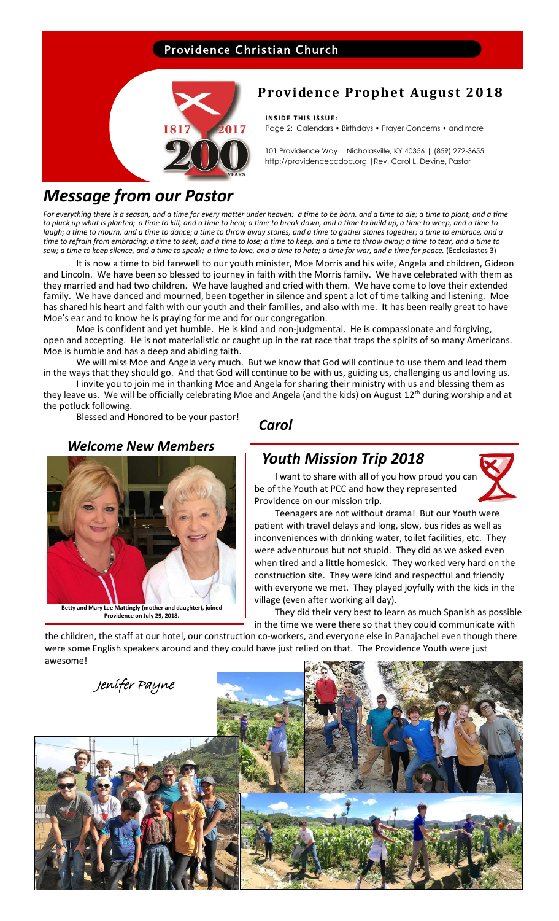## Providence Christian Church



## **Providence Prophet August 2018**

**INSIDE THIS ISSUE:** Page 2: Calendars • Birthdays • Prayer Concerns • and more

101 Providence Way | Nicholasville, KY 40356 | (859) 272-3655 http://providenceccdoc.org |Rev. Carol L. Devine, Pastor

# *Message from our Pastor*

*For everything there is a season, and a time for every matter under heaven: a time to be born, and a time to die; a time to plant, and a time to pluck up what is planted; a time to kill, and a time to heal; a time to break down, and a time to build up; a time to weep, and a time to laugh; a time to mourn, and a time to dance; a time to throw away stones, and a time to gather stones together; a time to embrace, and a time to refrain from embracing; a time to seek, and a time to lose; a time to keep, and a time to throw away; a time to tear, and a time to sew; a time to keep silence, and a time to speak; a time to love, and a time to hate; a time for war, and a time for peace.* (Ecclesiastes 3)

It is now a time to bid farewell to our youth minister, Moe Morris and his wife, Angela and children, Gideon and Lincoln. We have been so blessed to journey in faith with the Morris family. We have celebrated with them as they married and had two children. We have laughed and cried with them. We have come to love their extended family. We have danced and mourned, been together in silence and spent a lot of time talking and listening. Moe has shared his heart and faith with our youth and their families, and also with me. It has been really great to have Moe's ear and to know he is praying for me and for our congregation.

Moe is confident and yet humble. He is kind and non-judgmental. He is compassionate and forgiving, open and accepting. He is not materialistic or caught up in the rat race that traps the spirits of so many Americans. Moe is humble and has a deep and abiding faith.

We will miss Moe and Angela very much. But we know that God will continue to use them and lead them in the ways that they should go. And that God will continue to be with us, guiding us, challenging us and loving us.

I invite you to join me in thanking Moe and Angela for sharing their ministry with us and blessing them as they leave us. We will be officially celebrating Moe and Angela (and the kids) on August  $12^{th}$  during worship and at the potluck following.

Blessed and Honored to be your pastor!

*Carol*

## *Welcome New Members*



**Betty and Mary Lee Mattingly (mother and daughter), joined Providence on July 29, 2018.**

## *Youth Mission Trip 2018*

**burned, furniture, flooring, flooring, flooring, flooring, flooring, flooring, flooring, flooring, flooring, flooring, flooring, flooring, flooring, flooring, flooring, flooring, flooring, flooring, flooring, flooring, fl is a factory of the factors from horse from horse from horse from horse from horse from the Vouth at PCC and how they represented** 



**the milled into boards and planks into be and planks in the something of the something of the something of the something of the something of the something of the something of the something of the something of the somethin** patient with travel delays and long, slow, bus rides as well as inconveniences with drinking water, toilet facilities, etc. They were adventurous but not stupid. They did as we asked even when tired and a little homesick. They worked very hard on the construction site. They were kind and respectful and friendly with everyone we met. They played joyfully with the kids in the village (even after working all day).

They did their very best to learn as much Spanish as possible in the time we were there so that they could communicate with

the children, the staff at our hotel, our construction co-workers, and everyone else in Panajachel even though there were some English speakers around and they could have just relied on that. The Providence Youth were just awesome!